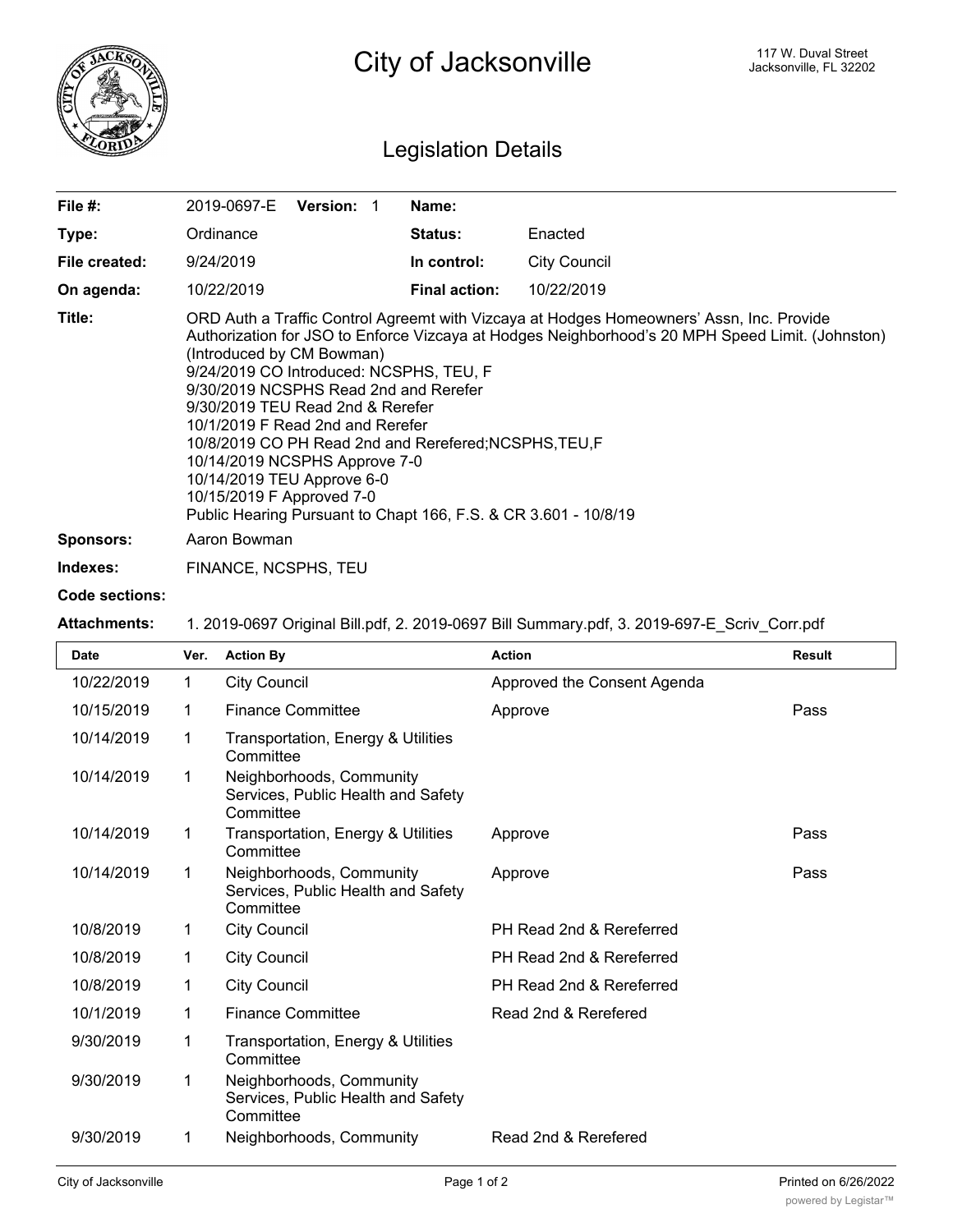

## Legislation Details

| File $#$ :       | <b>Version:</b><br>2019-0697-E                                                                                                                                                                                                                                                                                                                                                                                                                                                                                                                                                                                 | Name:                |                     |  |  |
|------------------|----------------------------------------------------------------------------------------------------------------------------------------------------------------------------------------------------------------------------------------------------------------------------------------------------------------------------------------------------------------------------------------------------------------------------------------------------------------------------------------------------------------------------------------------------------------------------------------------------------------|----------------------|---------------------|--|--|
| Type:            | Ordinance                                                                                                                                                                                                                                                                                                                                                                                                                                                                                                                                                                                                      | <b>Status:</b>       | Enacted             |  |  |
| File created:    | 9/24/2019                                                                                                                                                                                                                                                                                                                                                                                                                                                                                                                                                                                                      | In control:          | <b>City Council</b> |  |  |
| On agenda:       | 10/22/2019                                                                                                                                                                                                                                                                                                                                                                                                                                                                                                                                                                                                     | <b>Final action:</b> | 10/22/2019          |  |  |
| Title:           | ORD Auth a Traffic Control Agreemt with Vizcaya at Hodges Homeowners' Assn, Inc. Provide<br>Authorization for JSO to Enforce Vizcaya at Hodges Neighborhood's 20 MPH Speed Limit. (Johnston)<br>(Introduced by CM Bowman)<br>9/24/2019 CO Introduced: NCSPHS, TEU, F<br>9/30/2019 NCSPHS Read 2nd and Rerefer<br>9/30/2019 TEU Read 2nd & Rerefer<br>10/1/2019 F Read 2nd and Rerefer<br>10/8/2019 CO PH Read 2nd and Rerefered; NCSPHS, TEU, F<br>10/14/2019 NCSPHS Approve 7-0<br>10/14/2019 TEU Approve 6-0<br>10/15/2019 F Approved 7-0<br>Public Hearing Pursuant to Chapt 166, F.S. & CR 3.601 - 10/8/19 |                      |                     |  |  |
| <b>Sponsors:</b> | Aaron Bowman                                                                                                                                                                                                                                                                                                                                                                                                                                                                                                                                                                                                   |                      |                     |  |  |

**Indexes:** FINANCE, NCSPHS, TEU

## **Code sections:**

**Attachments:** 1. 2019-0697 Original Bill.pdf, 2. 2019-0697 Bill Summary.pdf, 3. 2019-697-E\_Scriv\_Corr.pdf

| <b>Date</b> | Ver. | <b>Action By</b>                                                            | <b>Action</b>               | <b>Result</b> |
|-------------|------|-----------------------------------------------------------------------------|-----------------------------|---------------|
| 10/22/2019  | 1    | <b>City Council</b>                                                         | Approved the Consent Agenda |               |
| 10/15/2019  | 1    | <b>Finance Committee</b>                                                    | Approve                     | Pass          |
| 10/14/2019  | 1    | Transportation, Energy & Utilities<br>Committee                             |                             |               |
| 10/14/2019  | 1    | Neighborhoods, Community<br>Services, Public Health and Safety<br>Committee |                             |               |
| 10/14/2019  | 1    | Transportation, Energy & Utilities<br>Committee                             | Approve                     | Pass          |
| 10/14/2019  | 1    | Neighborhoods, Community<br>Services, Public Health and Safety<br>Committee | Approve                     | Pass          |
| 10/8/2019   | 1    | <b>City Council</b>                                                         | PH Read 2nd & Rereferred    |               |
| 10/8/2019   | 1    | <b>City Council</b>                                                         | PH Read 2nd & Rereferred    |               |
| 10/8/2019   | 1    | <b>City Council</b>                                                         | PH Read 2nd & Rereferred    |               |
| 10/1/2019   | 1    | <b>Finance Committee</b>                                                    | Read 2nd & Rerefered        |               |
| 9/30/2019   | 1    | Transportation, Energy & Utilities<br>Committee                             |                             |               |
| 9/30/2019   | 1    | Neighborhoods, Community<br>Services, Public Health and Safety<br>Committee |                             |               |
| 9/30/2019   | 1    | Neighborhoods, Community                                                    | Read 2nd & Rerefered        |               |

Committee